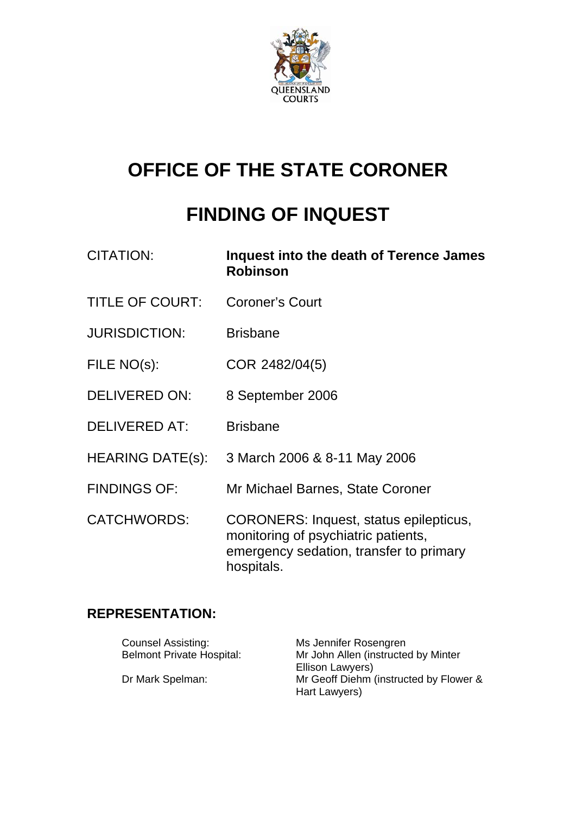

# **OFFICE OF THE STATE CORONER**

# **FINDING OF INQUEST**

| <b>CITATION:</b>        | Inquest into the death of Terence James<br><b>Robinson</b>                                                                                    |
|-------------------------|-----------------------------------------------------------------------------------------------------------------------------------------------|
| <b>TITLE OF COURT:</b>  | <b>Coroner's Court</b>                                                                                                                        |
| <b>JURISDICTION:</b>    | <b>Brisbane</b>                                                                                                                               |
| FILE NO(s):             | COR 2482/04(5)                                                                                                                                |
| <b>DELIVERED ON:</b>    | 8 September 2006                                                                                                                              |
| <b>DELIVERED AT:</b>    | <b>Brisbane</b>                                                                                                                               |
| <b>HEARING DATE(s):</b> | 3 March 2006 & 8-11 May 2006                                                                                                                  |
| <b>FINDINGS OF:</b>     | Mr Michael Barnes, State Coroner                                                                                                              |
| <b>CATCHWORDS:</b>      | <b>CORONERS: Inquest, status epilepticus,</b><br>monitoring of psychiatric patients,<br>emergency sedation, transfer to primary<br>hospitals. |

# **REPRESENTATION:**

| <b>Counsel Assisting:</b>        | Ms Jennifer Rosengren                  |
|----------------------------------|----------------------------------------|
| <b>Belmont Private Hospital:</b> | Mr John Allen (instructed by Minter    |
|                                  | Ellison Lawyers)                       |
| Dr Mark Spelman:                 | Mr Geoff Diehm (instructed by Flower & |
|                                  | Hart Lawyers)                          |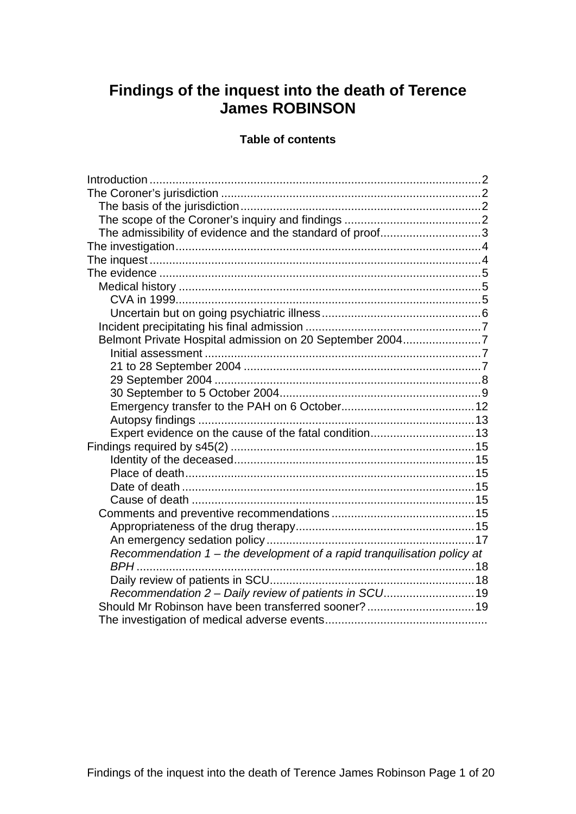# **Findings of the inquest into the death of Terence James ROBINSON**

#### **Table of contents**

| The admissibility of evidence and the standard of proof3                |
|-------------------------------------------------------------------------|
|                                                                         |
|                                                                         |
|                                                                         |
|                                                                         |
|                                                                         |
|                                                                         |
|                                                                         |
| Belmont Private Hospital admission on 20 September 20047                |
|                                                                         |
|                                                                         |
|                                                                         |
|                                                                         |
|                                                                         |
|                                                                         |
|                                                                         |
|                                                                         |
|                                                                         |
|                                                                         |
|                                                                         |
|                                                                         |
|                                                                         |
|                                                                         |
|                                                                         |
| Recommendation 1 - the development of a rapid tranquilisation policy at |
|                                                                         |
|                                                                         |
| Recommendation 2 - Daily review of patients in SCU19                    |
| Should Mr Robinson have been transferred sooner? 19                     |
|                                                                         |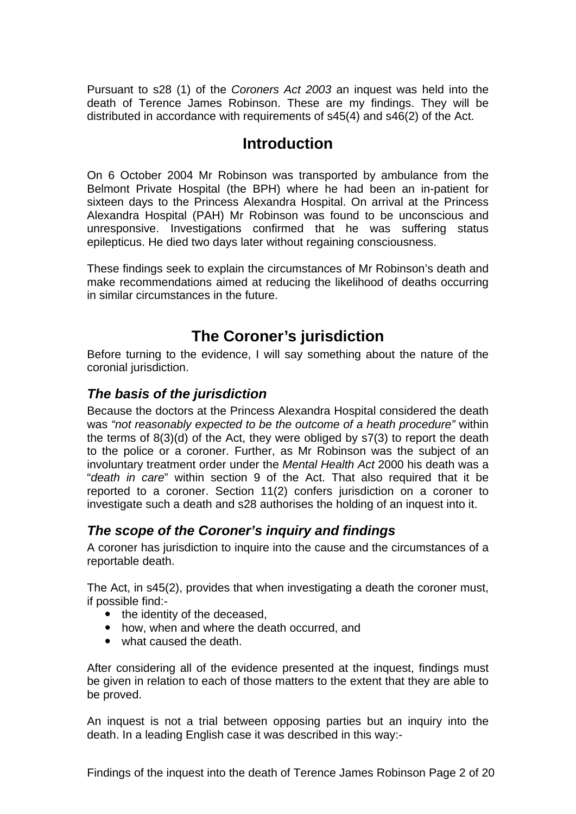<span id="page-2-0"></span>Pursuant to s28 (1) of the *Coroners Act 2003* an inquest was held into the death of Terence James Robinson. These are my findings. They will be distributed in accordance with requirements of s45(4) and s46(2) of the Act.

# **Introduction**

On 6 October 2004 Mr Robinson was transported by ambulance from the Belmont Private Hospital (the BPH) where he had been an in-patient for sixteen days to the Princess Alexandra Hospital. On arrival at the Princess Alexandra Hospital (PAH) Mr Robinson was found to be unconscious and unresponsive. Investigations confirmed that he was suffering status epilepticus. He died two days later without regaining consciousness.

These findings seek to explain the circumstances of Mr Robinson's death and make recommendations aimed at reducing the likelihood of deaths occurring in similar circumstances in the future.

# **The Coroner's jurisdiction**

Before turning to the evidence, I will say something about the nature of the coronial jurisdiction.

### *The basis of the jurisdiction*

Because the doctors at the Princess Alexandra Hospital considered the death was *"not reasonably expected to be the outcome of a heath procedure"* within the terms of 8(3)(d) of the Act, they were obliged by s7(3) to report the death to the police or a coroner. Further, as Mr Robinson was the subject of an involuntary treatment order under the *Mental Health Act* 2000 his death was a "*death in care*" within section 9 of the Act. That also required that it be reported to a coroner. Section 11(2) confers jurisdiction on a coroner to investigate such a death and s28 authorises the holding of an inquest into it.

# *The scope of the Coroner's inquiry and findings*

A coroner has jurisdiction to inquire into the cause and the circumstances of a reportable death.

The Act, in s45(2), provides that when investigating a death the coroner must, if possible find:-

- the identity of the deceased.
- how, when and where the death occurred, and
- what caused the death.

After considering all of the evidence presented at the inquest, findings must be given in relation to each of those matters to the extent that they are able to be proved.

An inquest is not a trial between opposing parties but an inquiry into the death. In a leading English case it was described in this way:-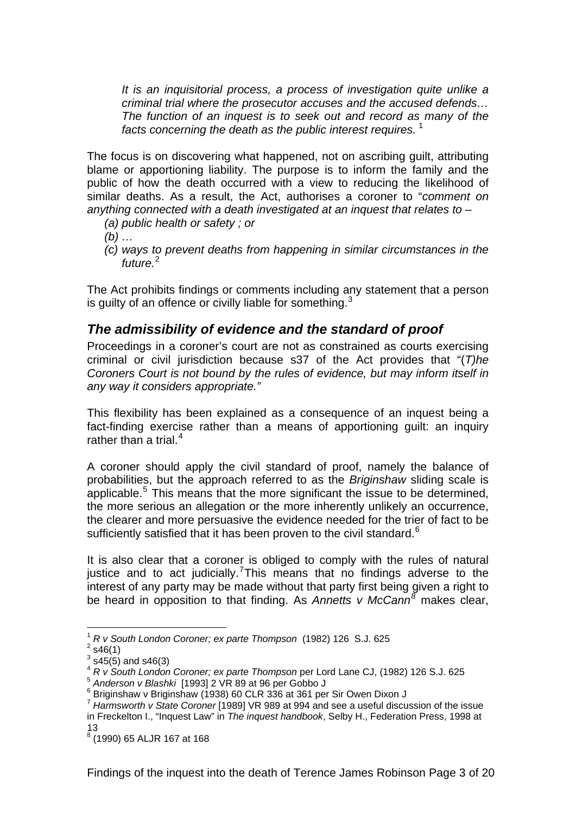<span id="page-3-0"></span>*It is an inquisitorial process, a process of investigation quite unlike a criminal trial where the prosecutor accuses and the accused defends… The function of an inquest is to seek out and record as many of the facts concerning the death as the public interest requires.* [1](#page-3-1)

The focus is on discovering what happened, not on ascribing guilt, attributing blame or apportioning liability. The purpose is to inform the family and the public of how the death occurred with a view to reducing the likelihood of similar deaths. As a result, the Act, authorises a coroner to "*comment on anything connected with a death investigated at an inquest that relates to* –

- *(a) public health or safety ; or*
- *(b) …*
- *(c) ways to prevent deaths from happening in similar circumstances in the future.*[2](#page-3-2)

The Act prohibits findings or comments including any statement that a person is guilty of an offence or civilly liable for something.<sup>[3](#page-3-3)</sup>

#### *The admissibility of evidence and the standard of proof*

Proceedings in a coroner's court are not as constrained as courts exercising criminal or civil jurisdiction because s37 of the Act provides that "(*T)he Coroners Court is not bound by the rules of evidence, but may inform itself in any way it considers appropriate."*

This flexibility has been explained as a consequence of an inquest being a fact-finding exercise rather than a means of apportioning guilt: an inquiry rather than a trial. $4$ 

A coroner should apply the civil standard of proof, namely the balance of probabilities, but the approach referred to as the *Briginshaw* sliding scale is applicable. $5$  This means that the more significant the issue to be determined, the more serious an allegation or the more inherently unlikely an occurrence, the clearer and more persuasive the evidence needed for the trier of fact to be sufficiently satisfied that it has been proven to the civil standard. $6$ 

It is also clear that a coroner is obliged to comply with the rules of natural justice and to act judicially.<sup>[7](#page-3-7)</sup>This means that no findings adverse to the interest of any party may be made without that party first being given a right to be heard in opposition to that finding. As *Annetts v McCann[8](#page-3-8)* makes clear,

1

<sup>1</sup> *R v South London Coroner; ex parte Thompson* (1982) 126 S.J. 625 2

<span id="page-3-2"></span><span id="page-3-1"></span> $2$  s46(1)

 $3$  s45(5) and s46(3)

<span id="page-3-4"></span><span id="page-3-3"></span><sup>4</sup> *R v South London Coroner; ex parte Thompson* per Lord Lane CJ, (1982) 126 S.J. 625

<span id="page-3-5"></span><sup>5</sup> *Anderson v Blashki* [1993] 2 VR 89 at 96 per Gobbo J 6

<span id="page-3-6"></span> $6$  Briginshaw v Briginshaw (1938) 60 CLR 336 at 361 per Sir Owen Dixon J

<span id="page-3-7"></span><sup>7</sup> *Harmsworth v State Coroner* [1989] VR 989 at 994 and see a useful discussion of the issue in Freckelton I., "Inquest Law" in *The inquest handbook*, Selby H., Federation Press, 1998 at 13

<span id="page-3-8"></span><sup>8</sup> (1990) 65 ALJR 167 at 168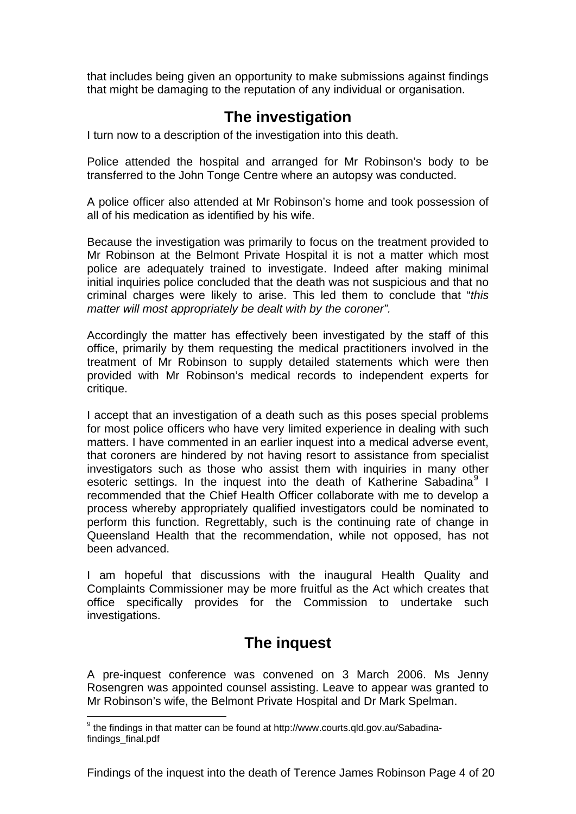<span id="page-4-0"></span>that includes being given an opportunity to make submissions against findings that might be damaging to the reputation of any individual or organisation.

# **The investigation**

I turn now to a description of the investigation into this death.

Police attended the hospital and arranged for Mr Robinson's body to be transferred to the John Tonge Centre where an autopsy was conducted.

A police officer also attended at Mr Robinson's home and took possession of all of his medication as identified by his wife.

Because the investigation was primarily to focus on the treatment provided to Mr Robinson at the Belmont Private Hospital it is not a matter which most police are adequately trained to investigate. Indeed after making minimal initial inquiries police concluded that the death was not suspicious and that no criminal charges were likely to arise. This led them to conclude that "*this matter will most appropriately be dealt with by the coroner".* 

Accordingly the matter has effectively been investigated by the staff of this office, primarily by them requesting the medical practitioners involved in the treatment of Mr Robinson to supply detailed statements which were then provided with Mr Robinson's medical records to independent experts for critique.

I accept that an investigation of a death such as this poses special problems for most police officers who have very limited experience in dealing with such matters. I have commented in an earlier inquest into a medical adverse event, that coroners are hindered by not having resort to assistance from specialist investigators such as those who assist them with inquiries in many other esoteric settings. In the inquest into the death of Katherine Sabadina<sup>[9](#page-4-1)</sup> I recommended that the Chief Health Officer collaborate with me to develop a process whereby appropriately qualified investigators could be nominated to perform this function. Regrettably, such is the continuing rate of change in Queensland Health that the recommendation, while not opposed, has not been advanced.

I am hopeful that discussions with the inaugural Health Quality and Complaints Commissioner may be more fruitful as the Act which creates that office specifically provides for the Commission to undertake such investigations.

# **The inquest**

A pre-inquest conference was convened on 3 March 2006. Ms Jenny Rosengren was appointed counsel assisting. Leave to appear was granted to Mr Robinson's wife, the Belmont Private Hospital and Dr Mark Spelman.

<span id="page-4-1"></span><sup>1</sup>  $9$  the findings in that matter can be found at http://www.courts.qld.gov.au/Sabadinafindings\_final.pdf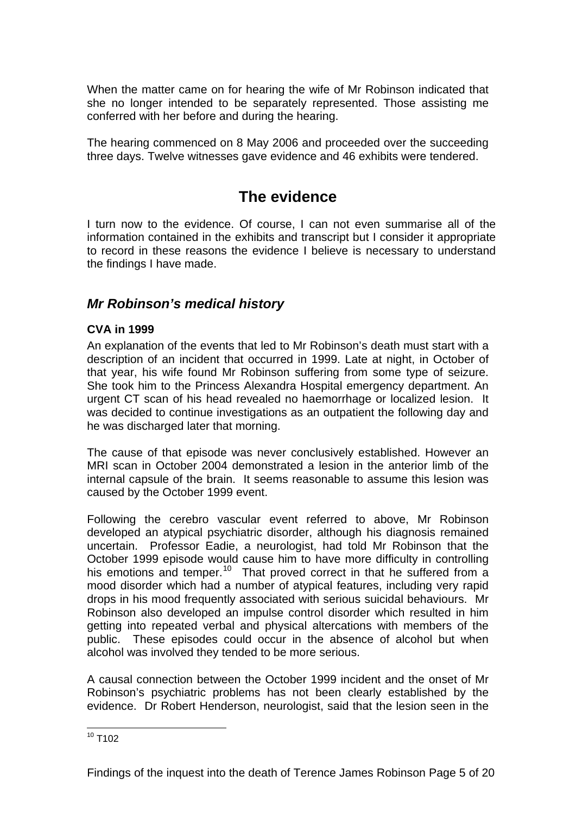<span id="page-5-0"></span>When the matter came on for hearing the wife of Mr Robinson indicated that she no longer intended to be separately represented. Those assisting me conferred with her before and during the hearing.

The hearing commenced on 8 May 2006 and proceeded over the succeeding three days. Twelve witnesses gave evidence and 46 exhibits were tendered.

# **The evidence**

I turn now to the evidence. Of course, I can not even summarise all of the information contained in the exhibits and transcript but I consider it appropriate to record in these reasons the evidence I believe is necessary to understand the findings I have made.

# *Mr Robinson's medical history*

#### **CVA in 1999**

An explanation of the events that led to Mr Robinson's death must start with a description of an incident that occurred in 1999. Late at night, in October of that year, his wife found Mr Robinson suffering from some type of seizure. She took him to the Princess Alexandra Hospital emergency department. An urgent CT scan of his head revealed no haemorrhage or localized lesion. It was decided to continue investigations as an outpatient the following day and he was discharged later that morning.

The cause of that episode was never conclusively established. However an MRI scan in October 2004 demonstrated a lesion in the anterior limb of the internal capsule of the brain. It seems reasonable to assume this lesion was caused by the October 1999 event.

Following the cerebro vascular event referred to above, Mr Robinson developed an atypical psychiatric disorder, although his diagnosis remained uncertain. Professor Eadie, a neurologist, had told Mr Robinson that the October 1999 episode would cause him to have more difficulty in controlling his emotions and temper.<sup>[10](#page-5-1)</sup> That proved correct in that he suffered from a mood disorder which had a number of atypical features, including very rapid drops in his mood frequently associated with serious suicidal behaviours. Mr Robinson also developed an impulse control disorder which resulted in him getting into repeated verbal and physical altercations with members of the public. These episodes could occur in the absence of alcohol but when alcohol was involved they tended to be more serious.

A causal connection between the October 1999 incident and the onset of Mr Robinson's psychiatric problems has not been clearly established by the evidence. Dr Robert Henderson, neurologist, said that the lesion seen in the

<span id="page-5-1"></span><sup>1</sup>  $10$  T102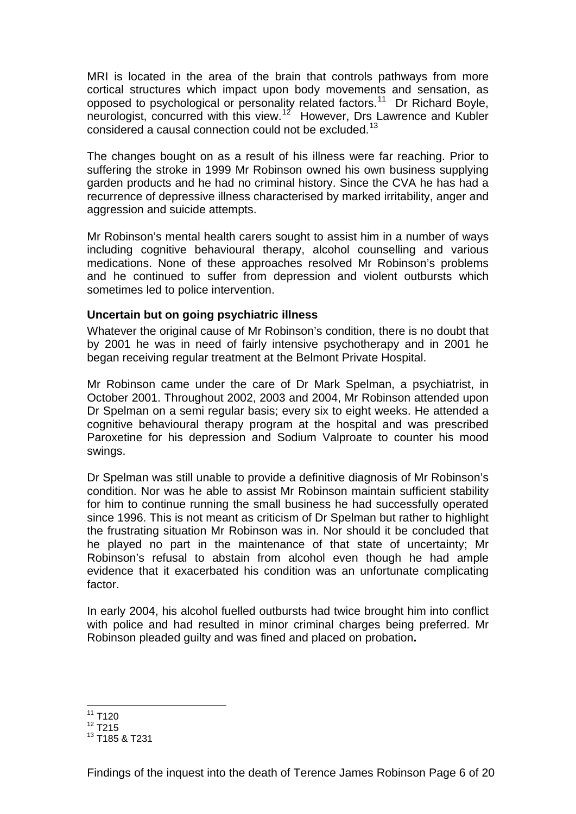<span id="page-6-0"></span>MRI is located in the area of the brain that controls pathways from more cortical structures which impact upon body movements and sensation, as opposed to psychological or personality related factors.<sup>[11](#page-6-1)</sup> Dr Richard Boyle, neurologist, concurred with this view.<sup>[12](#page-6-2)</sup> However, Drs Lawrence and Kubler considered a causal connection could not be excluded.[13](#page-6-3)

The changes bought on as a result of his illness were far reaching. Prior to suffering the stroke in 1999 Mr Robinson owned his own business supplying garden products and he had no criminal history. Since the CVA he has had a recurrence of depressive illness characterised by marked irritability, anger and aggression and suicide attempts.

Mr Robinson's mental health carers sought to assist him in a number of ways including cognitive behavioural therapy, alcohol counselling and various medications. None of these approaches resolved Mr Robinson's problems and he continued to suffer from depression and violent outbursts which sometimes led to police intervention.

#### **Uncertain but on going psychiatric illness**

Whatever the original cause of Mr Robinson's condition, there is no doubt that by 2001 he was in need of fairly intensive psychotherapy and in 2001 he began receiving regular treatment at the Belmont Private Hospital.

Mr Robinson came under the care of Dr Mark Spelman, a psychiatrist, in October 2001. Throughout 2002, 2003 and 2004, Mr Robinson attended upon Dr Spelman on a semi regular basis; every six to eight weeks. He attended a cognitive behavioural therapy program at the hospital and was prescribed Paroxetine for his depression and Sodium Valproate to counter his mood swings.

Dr Spelman was still unable to provide a definitive diagnosis of Mr Robinson's condition. Nor was he able to assist Mr Robinson maintain sufficient stability for him to continue running the small business he had successfully operated since 1996. This is not meant as criticism of Dr Spelman but rather to highlight the frustrating situation Mr Robinson was in. Nor should it be concluded that he played no part in the maintenance of that state of uncertainty; Mr Robinson's refusal to abstain from alcohol even though he had ample evidence that it exacerbated his condition was an unfortunate complicating factor.

In early 2004, his alcohol fuelled outbursts had twice brought him into conflict with police and had resulted in minor criminal charges being preferred. Mr Robinson pleaded guilty and was fined and placed on probation**.** 

<sup>1</sup>  $11$  T120

<span id="page-6-2"></span><span id="page-6-1"></span> $12$  T215

<span id="page-6-3"></span><sup>13</sup> T185 & T231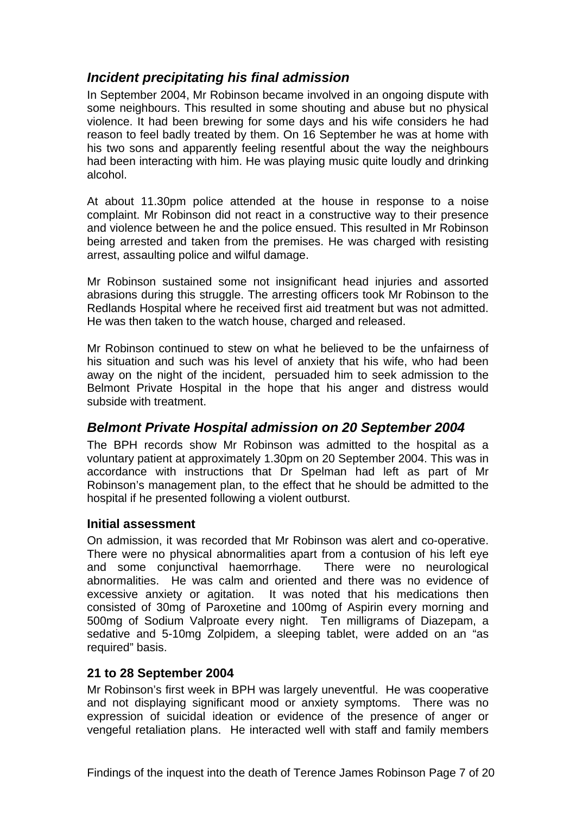# <span id="page-7-0"></span>*Incident precipitating his final admission*

In September 2004, Mr Robinson became involved in an ongoing dispute with some neighbours. This resulted in some shouting and abuse but no physical violence. It had been brewing for some days and his wife considers he had reason to feel badly treated by them. On 16 September he was at home with his two sons and apparently feeling resentful about the way the neighbours had been interacting with him. He was playing music quite loudly and drinking alcohol.

At about 11.30pm police attended at the house in response to a noise complaint. Mr Robinson did not react in a constructive way to their presence and violence between he and the police ensued. This resulted in Mr Robinson being arrested and taken from the premises. He was charged with resisting arrest, assaulting police and wilful damage.

Mr Robinson sustained some not insignificant head injuries and assorted abrasions during this struggle. The arresting officers took Mr Robinson to the Redlands Hospital where he received first aid treatment but was not admitted. He was then taken to the watch house, charged and released.

Mr Robinson continued to stew on what he believed to be the unfairness of his situation and such was his level of anxiety that his wife, who had been away on the night of the incident, persuaded him to seek admission to the Belmont Private Hospital in the hope that his anger and distress would subside with treatment.

### *Belmont Private Hospital admission on 20 September 2004*

The BPH records show Mr Robinson was admitted to the hospital as a voluntary patient at approximately 1.30pm on 20 September 2004. This was in accordance with instructions that Dr Spelman had left as part of Mr Robinson's management plan, to the effect that he should be admitted to the hospital if he presented following a violent outburst.

#### **Initial assessment**

On admission, it was recorded that Mr Robinson was alert and co-operative. There were no physical abnormalities apart from a contusion of his left eye and some conjunctival haemorrhage. There were no neurological abnormalities. He was calm and oriented and there was no evidence of excessive anxiety or agitation. It was noted that his medications then consisted of 30mg of Paroxetine and 100mg of Aspirin every morning and 500mg of Sodium Valproate every night. Ten milligrams of Diazepam, a sedative and 5-10mg Zolpidem, a sleeping tablet, were added on an "as required" basis.

#### **21 to 28 September 2004**

Mr Robinson's first week in BPH was largely uneventful. He was cooperative and not displaying significant mood or anxiety symptoms. There was no expression of suicidal ideation or evidence of the presence of anger or vengeful retaliation plans. He interacted well with staff and family members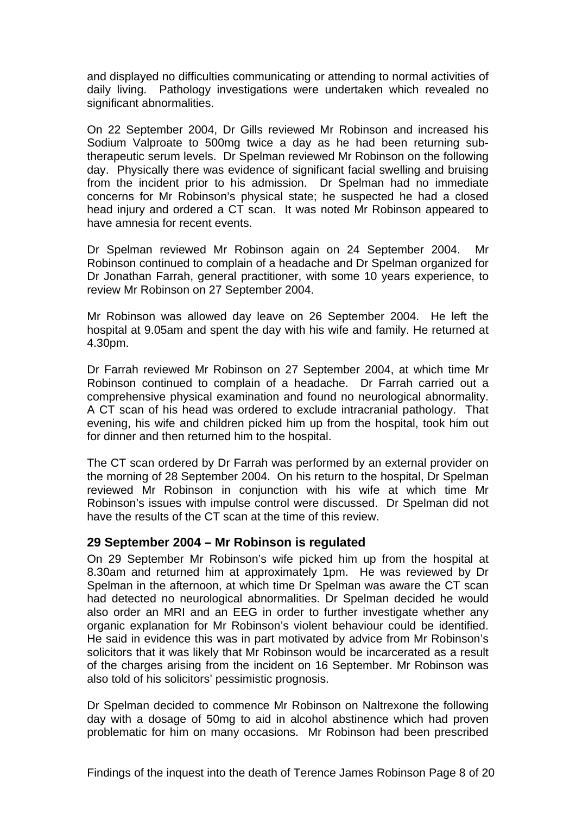<span id="page-8-0"></span>and displayed no difficulties communicating or attending to normal activities of daily living. Pathology investigations were undertaken which revealed no significant abnormalities.

On 22 September 2004, Dr Gills reviewed Mr Robinson and increased his Sodium Valproate to 500mg twice a day as he had been returning subtherapeutic serum levels. Dr Spelman reviewed Mr Robinson on the following day. Physically there was evidence of significant facial swelling and bruising from the incident prior to his admission. Dr Spelman had no immediate concerns for Mr Robinson's physical state; he suspected he had a closed head injury and ordered a CT scan. It was noted Mr Robinson appeared to have amnesia for recent events.

Dr Spelman reviewed Mr Robinson again on 24 September 2004. Mr Robinson continued to complain of a headache and Dr Spelman organized for Dr Jonathan Farrah, general practitioner, with some 10 years experience, to review Mr Robinson on 27 September 2004.

Mr Robinson was allowed day leave on 26 September 2004. He left the hospital at 9.05am and spent the day with his wife and family. He returned at 4.30pm.

Dr Farrah reviewed Mr Robinson on 27 September 2004, at which time Mr Robinson continued to complain of a headache. Dr Farrah carried out a comprehensive physical examination and found no neurological abnormality. A CT scan of his head was ordered to exclude intracranial pathology. That evening, his wife and children picked him up from the hospital, took him out for dinner and then returned him to the hospital.

The CT scan ordered by Dr Farrah was performed by an external provider on the morning of 28 September 2004. On his return to the hospital, Dr Spelman reviewed Mr Robinson in conjunction with his wife at which time Mr Robinson's issues with impulse control were discussed. Dr Spelman did not have the results of the CT scan at the time of this review.

#### **29 September 2004 – Mr Robinson is regulated**

On 29 September Mr Robinson's wife picked him up from the hospital at 8.30am and returned him at approximately 1pm. He was reviewed by Dr Spelman in the afternoon, at which time Dr Spelman was aware the CT scan had detected no neurological abnormalities. Dr Spelman decided he would also order an MRI and an EEG in order to further investigate whether any organic explanation for Mr Robinson's violent behaviour could be identified. He said in evidence this was in part motivated by advice from Mr Robinson's solicitors that it was likely that Mr Robinson would be incarcerated as a result of the charges arising from the incident on 16 September. Mr Robinson was also told of his solicitors' pessimistic prognosis.

Dr Spelman decided to commence Mr Robinson on Naltrexone the following day with a dosage of 50mg to aid in alcohol abstinence which had proven problematic for him on many occasions. Mr Robinson had been prescribed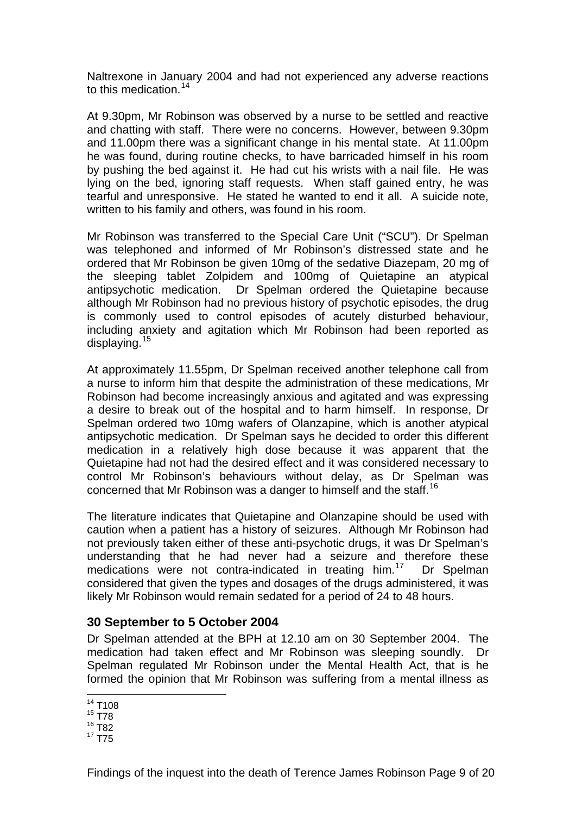<span id="page-9-0"></span>Naltrexone in January 2004 and had not experienced any adverse reactions to this medication.<sup>[14](#page-9-1)</sup>

At 9.30pm, Mr Robinson was observed by a nurse to be settled and reactive and chatting with staff. There were no concerns. However, between 9.30pm and 11.00pm there was a significant change in his mental state. At 11.00pm he was found, during routine checks, to have barricaded himself in his room by pushing the bed against it. He had cut his wrists with a nail file. He was lying on the bed, ignoring staff requests. When staff gained entry, he was tearful and unresponsive. He stated he wanted to end it all. A suicide note, written to his family and others, was found in his room.

Mr Robinson was transferred to the Special Care Unit ("SCU"). Dr Spelman was telephoned and informed of Mr Robinson's distressed state and he ordered that Mr Robinson be given 10mg of the sedative Diazepam, 20 mg of the sleeping tablet Zolpidem and 100mg of Quietapine an atypical antipsychotic medication. Dr Spelman ordered the Quietapine because although Mr Robinson had no previous history of psychotic episodes, the drug is commonly used to control episodes of acutely disturbed behaviour, including anxiety and agitation which Mr Robinson had been reported as displaying.[15](#page-9-2)

At approximately 11.55pm, Dr Spelman received another telephone call from a nurse to inform him that despite the administration of these medications, Mr Robinson had become increasingly anxious and agitated and was expressing a desire to break out of the hospital and to harm himself. In response, Dr Spelman ordered two 10mg wafers of Olanzapine, which is another atypical antipsychotic medication. Dr Spelman says he decided to order this different medication in a relatively high dose because it was apparent that the Quietapine had not had the desired effect and it was considered necessary to control Mr Robinson's behaviours without delay, as Dr Spelman was concerned that Mr Robinson was a danger to himself and the staff.<sup>[16](#page-9-3)</sup>

The literature indicates that Quietapine and Olanzapine should be used with caution when a patient has a history of seizures. Although Mr Robinson had not previously taken either of these anti-psychotic drugs, it was Dr Spelman's understanding that he had never had a seizure and therefore these medications were not contra-indicated in treating him.<sup>[17](#page-9-4)</sup> Dr Spelman considered that given the types and dosages of the drugs administered, it was likely Mr Robinson would remain sedated for a period of 24 to 48 hours.

#### **30 September to 5 October 2004**

Dr Spelman attended at the BPH at 12.10 am on 30 September 2004. The medication had taken effect and Mr Robinson was sleeping soundly. Dr Spelman regulated Mr Robinson under the Mental Health Act, that is he formed the opinion that Mr Robinson was suffering from a mental illness as

<sup>1</sup>  $14$  T108

<span id="page-9-1"></span><sup>15</sup> T78

<span id="page-9-3"></span><span id="page-9-2"></span><sup>16</sup> T82

<span id="page-9-4"></span> $17 \overline{175}$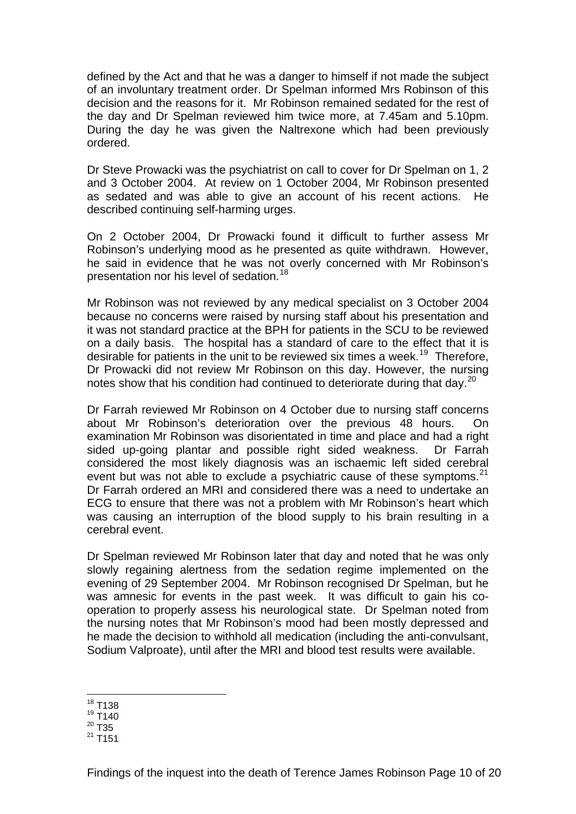defined by the Act and that he was a danger to himself if not made the subject of an involuntary treatment order. Dr Spelman informed Mrs Robinson of this decision and the reasons for it. Mr Robinson remained sedated for the rest of the day and Dr Spelman reviewed him twice more, at 7.45am and 5.10pm. During the day he was given the Naltrexone which had been previously ordered.

Dr Steve Prowacki was the psychiatrist on call to cover for Dr Spelman on 1, 2 and 3 October 2004. At review on 1 October 2004, Mr Robinson presented as sedated and was able to give an account of his recent actions. He described continuing self-harming urges.

On 2 October 2004, Dr Prowacki found it difficult to further assess Mr Robinson's underlying mood as he presented as quite withdrawn. However, he said in evidence that he was not overly concerned with Mr Robinson's presentation nor his level of sedation.<sup>[18](#page-10-0)</sup>

Mr Robinson was not reviewed by any medical specialist on 3 October 2004 because no concerns were raised by nursing staff about his presentation and it was not standard practice at the BPH for patients in the SCU to be reviewed on a daily basis. The hospital has a standard of care to the effect that it is desirable for patients in the unit to be reviewed six times a week.<sup>[19](#page-10-1)</sup> Therefore. Dr Prowacki did not review Mr Robinson on this day. However, the nursing notes show that his condition had continued to deteriorate during that day.<sup>[20](#page-10-2)</sup>

Dr Farrah reviewed Mr Robinson on 4 October due to nursing staff concerns about Mr Robinson's deterioration over the previous 48 hours. On examination Mr Robinson was disorientated in time and place and had a right sided up-going plantar and possible right sided weakness. Dr Farrah considered the most likely diagnosis was an ischaemic left sided cerebral event but was not able to exclude a psychiatric cause of these symptoms. $21$ Dr Farrah ordered an MRI and considered there was a need to undertake an ECG to ensure that there was not a problem with Mr Robinson's heart which was causing an interruption of the blood supply to his brain resulting in a cerebral event.

Dr Spelman reviewed Mr Robinson later that day and noted that he was only slowly regaining alertness from the sedation regime implemented on the evening of 29 September 2004. Mr Robinson recognised Dr Spelman, but he was amnesic for events in the past week. It was difficult to gain his cooperation to properly assess his neurological state. Dr Spelman noted from the nursing notes that Mr Robinson's mood had been mostly depressed and he made the decision to withhold all medication (including the anti-convulsant, Sodium Valproate), until after the MRI and blood test results were available.

<sup>1</sup>  $18$  T138

<span id="page-10-0"></span><sup>19</sup> T140

<span id="page-10-1"></span> $^{20}$  T35

<span id="page-10-3"></span><span id="page-10-2"></span> $^{21}$  T151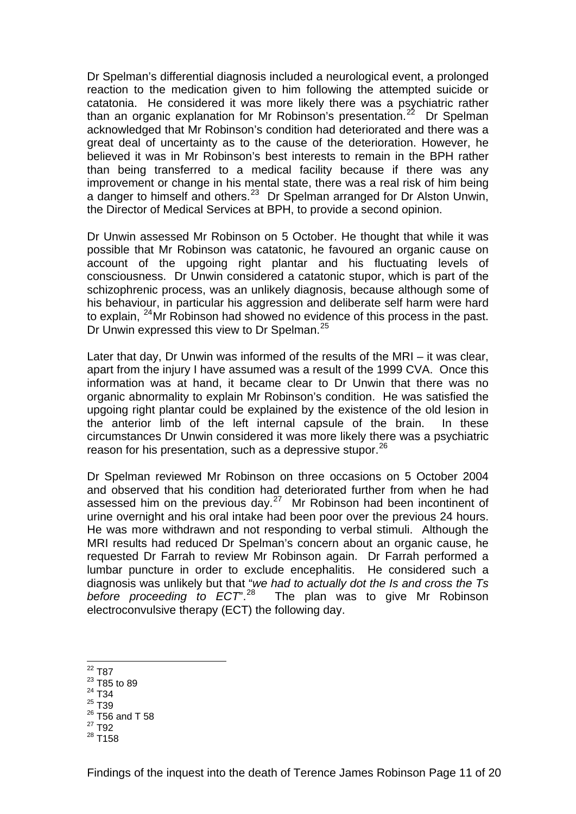Dr Spelman's differential diagnosis included a neurological event, a prolonged reaction to the medication given to him following the attempted suicide or catatonia. He considered it was more likely there was a psychiatric rather than an organic explanation for Mr Robinson's presentation.<sup>[22](#page-11-0)</sup> Dr Spelman acknowledged that Mr Robinson's condition had deteriorated and there was a great deal of uncertainty as to the cause of the deterioration. However, he believed it was in Mr Robinson's best interests to remain in the BPH rather than being transferred to a medical facility because if there was any improvement or change in his mental state, there was a real risk of him being a danger to himself and others.<sup>[23](#page-11-1)</sup> Dr Spelman arranged for Dr Alston Unwin, the Director of Medical Services at BPH, to provide a second opinion.

Dr Unwin assessed Mr Robinson on 5 October. He thought that while it was possible that Mr Robinson was catatonic, he favoured an organic cause on account of the upgoing right plantar and his fluctuating levels of consciousness. Dr Unwin considered a catatonic stupor, which is part of the schizophrenic process, was an unlikely diagnosis, because although some of his behaviour, in particular his aggression and deliberate self harm were hard to explain, [24](#page-11-2)Mr Robinson had showed no evidence of this process in the past. Dr Unwin expressed this view to Dr Spelman.<sup>[25](#page-11-3)</sup>

Later that day, Dr Unwin was informed of the results of the MRI – it was clear, apart from the injury I have assumed was a result of the 1999 CVA. Once this information was at hand, it became clear to Dr Unwin that there was no organic abnormality to explain Mr Robinson's condition. He was satisfied the upgoing right plantar could be explained by the existence of the old lesion in the anterior limb of the left internal capsule of the brain. In these circumstances Dr Unwin considered it was more likely there was a psychiatric reason for his presentation, such as a depressive stupor.<sup>[26](#page-11-4)</sup>

Dr Spelman reviewed Mr Robinson on three occasions on 5 October 2004 and observed that his condition had deteriorated further from when he had assessed him on the previous day.[27](#page-11-5) Mr Robinson had been incontinent of urine overnight and his oral intake had been poor over the previous 24 hours. He was more withdrawn and not responding to verbal stimuli. Although the MRI results had reduced Dr Spelman's concern about an organic cause, he requested Dr Farrah to review Mr Robinson again. Dr Farrah performed a lumbar puncture in order to exclude encephalitis. He considered such a diagnosis was unlikely but that "*we had to actually dot the Is and cross the Ts before proceeding to ECT*".[28](#page-11-6) The plan was to give Mr Robinson electroconvulsive therapy (ECT) the following day.

- 1  $^{22}$  T87
- <span id="page-11-1"></span><span id="page-11-0"></span>23 T85 to 89
- 24 T34
- <span id="page-11-3"></span><span id="page-11-2"></span><sup>25</sup> T39
- $26$  T56 and T 58
- <span id="page-11-5"></span><span id="page-11-4"></span>27 T92
- <span id="page-11-6"></span> $^{28}$  T<sub>158</sub>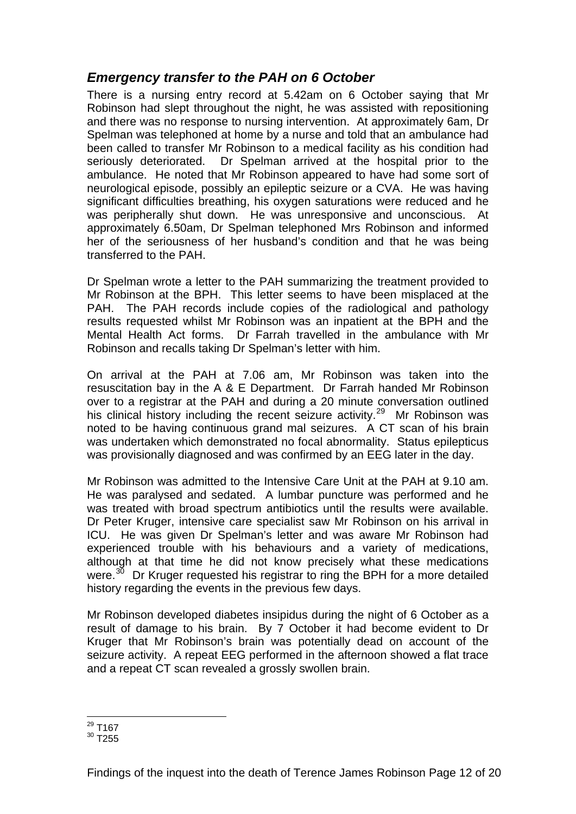### <span id="page-12-0"></span>*Emergency transfer to the PAH on 6 October*

There is a nursing entry record at 5.42am on 6 October saying that Mr Robinson had slept throughout the night, he was assisted with repositioning and there was no response to nursing intervention. At approximately 6am, Dr Spelman was telephoned at home by a nurse and told that an ambulance had been called to transfer Mr Robinson to a medical facility as his condition had seriously deteriorated. Dr Spelman arrived at the hospital prior to the ambulance. He noted that Mr Robinson appeared to have had some sort of neurological episode, possibly an epileptic seizure or a CVA. He was having significant difficulties breathing, his oxygen saturations were reduced and he was peripherally shut down. He was unresponsive and unconscious. At approximately 6.50am, Dr Spelman telephoned Mrs Robinson and informed her of the seriousness of her husband's condition and that he was being transferred to the PAH.

Dr Spelman wrote a letter to the PAH summarizing the treatment provided to Mr Robinson at the BPH. This letter seems to have been misplaced at the PAH. The PAH records include copies of the radiological and pathology results requested whilst Mr Robinson was an inpatient at the BPH and the Mental Health Act forms. Dr Farrah travelled in the ambulance with Mr Robinson and recalls taking Dr Spelman's letter with him.

On arrival at the PAH at 7.06 am, Mr Robinson was taken into the resuscitation bay in the A & E Department. Dr Farrah handed Mr Robinson over to a registrar at the PAH and during a 20 minute conversation outlined his clinical history including the recent seizure activity.<sup>[29](#page-12-1)</sup> Mr Robinson was noted to be having continuous grand mal seizures. A CT scan of his brain was undertaken which demonstrated no focal abnormality. Status epilepticus was provisionally diagnosed and was confirmed by an EEG later in the day.

Mr Robinson was admitted to the Intensive Care Unit at the PAH at 9.10 am. He was paralysed and sedated. A lumbar puncture was performed and he was treated with broad spectrum antibiotics until the results were available. Dr Peter Kruger, intensive care specialist saw Mr Robinson on his arrival in ICU. He was given Dr Spelman's letter and was aware Mr Robinson had experienced trouble with his behaviours and a variety of medications, although at that time he did not know precisely what these medications were.<sup>[30](#page-12-2)</sup> Dr Kruger requested his registrar to ring the BPH for a more detailed history regarding the events in the previous few days.

Mr Robinson developed diabetes insipidus during the night of 6 October as a result of damage to his brain. By 7 October it had become evident to Dr Kruger that Mr Robinson's brain was potentially dead on account of the seizure activity. A repeat EEG performed in the afternoon showed a flat trace and a repeat CT scan revealed a grossly swollen brain.

<sup>1</sup>  $^{29}$  T167

<span id="page-12-2"></span><span id="page-12-1"></span> $30$  T<sub>255</sub>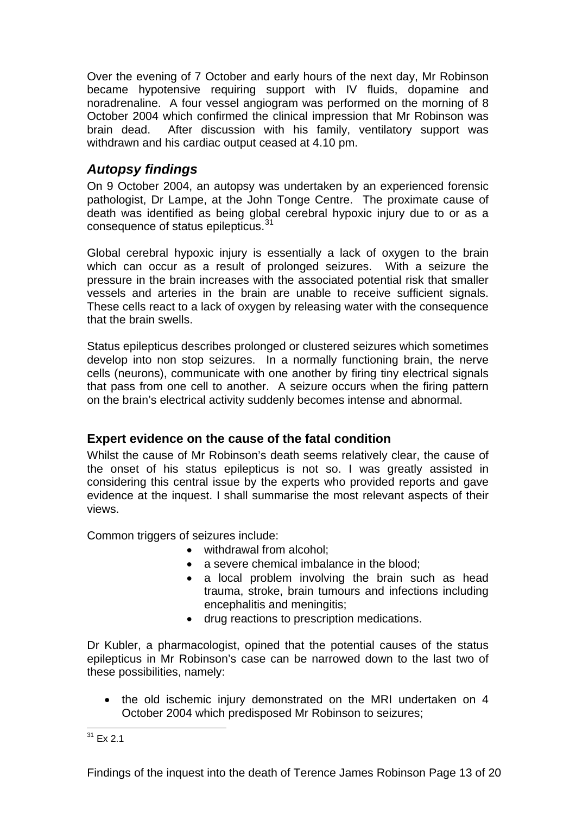<span id="page-13-0"></span>Over the evening of 7 October and early hours of the next day, Mr Robinson became hypotensive requiring support with IV fluids, dopamine and noradrenaline. A four vessel angiogram was performed on the morning of 8 October 2004 which confirmed the clinical impression that Mr Robinson was brain dead. After discussion with his family, ventilatory support was withdrawn and his cardiac output ceased at 4.10 pm.

# *Autopsy findings*

On 9 October 2004, an autopsy was undertaken by an experienced forensic pathologist, Dr Lampe, at the John Tonge Centre. The proximate cause of death was identified as being global cerebral hypoxic injury due to or as a consequence of status epilepticus.<sup>[31](#page-13-1)</sup>

Global cerebral hypoxic injury is essentially a lack of oxygen to the brain which can occur as a result of prolonged seizures. With a seizure the pressure in the brain increases with the associated potential risk that smaller vessels and arteries in the brain are unable to receive sufficient signals. These cells react to a lack of oxygen by releasing water with the consequence that the brain swells.

Status epilepticus describes prolonged or clustered seizures which sometimes develop into non stop seizures. In a normally functioning brain, the nerve cells (neurons), communicate with one another by firing tiny electrical signals that pass from one cell to another. A seizure occurs when the firing pattern on the brain's electrical activity suddenly becomes intense and abnormal.

### **Expert evidence on the cause of the fatal condition**

Whilst the cause of Mr Robinson's death seems relatively clear, the cause of the onset of his status epilepticus is not so. I was greatly assisted in considering this central issue by the experts who provided reports and gave evidence at the inquest. I shall summarise the most relevant aspects of their views.

Common triggers of seizures include:

- withdrawal from alcohol;
- a severe chemical imbalance in the blood;
- a local problem involving the brain such as head trauma, stroke, brain tumours and infections including encephalitis and meningitis;
- drug reactions to prescription medications.

Dr Kubler, a pharmacologist, opined that the potential causes of the status epilepticus in Mr Robinson's case can be narrowed down to the last two of these possibilities, namely:

• the old ischemic injury demonstrated on the MRI undertaken on 4 October 2004 which predisposed Mr Robinson to seizures;

<span id="page-13-1"></span><sup>1</sup>  $31$  Ex 2.1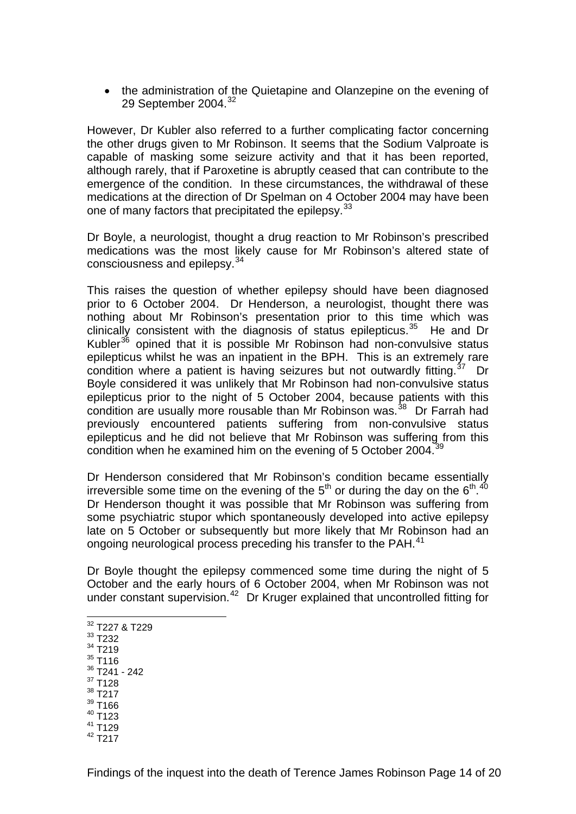• the administration of the Quietapine and Olanzepine on the evening of 29 September 2004.[32](#page-14-0)

However, Dr Kubler also referred to a further complicating factor concerning the other drugs given to Mr Robinson. It seems that the Sodium Valproate is capable of masking some seizure activity and that it has been reported, although rarely, that if Paroxetine is abruptly ceased that can contribute to the emergence of the condition. In these circumstances, the withdrawal of these medications at the direction of Dr Spelman on 4 October 2004 may have been one of many factors that precipitated the epilepsy.<sup>[33](#page-14-1)</sup>

Dr Boyle, a neurologist, thought a drug reaction to Mr Robinson's prescribed medications was the most likely cause for Mr Robinson's altered state of consciousness and epilepsy.<sup>[34](#page-14-2)</sup>

This raises the question of whether epilepsy should have been diagnosed prior to 6 October 2004. Dr Henderson, a neurologist, thought there was nothing about Mr Robinson's presentation prior to this time which was clinically consistent with the diagnosis of status epilepticus.<sup>[35](#page-14-3)</sup> He and Dr Kubler<sup>[36](#page-14-4)</sup> opined that it is possible Mr Robinson had non-convulsive status epilepticus whilst he was an inpatient in the BPH. This is an extremely rare condition where a patient is having seizures but not outwardly fitting.<sup>[37](#page-14-5)</sup> Dr Boyle considered it was unlikely that Mr Robinson had non-convulsive status epilepticus prior to the night of 5 October 2004, because patients with this condition are usually more rousable than Mr Robinson was.<sup>[38](#page-14-6)</sup> Dr Farrah had previously encountered patients suffering from non-convulsive status epilepticus and he did not believe that Mr Robinson was suffering from this condition when he examined him on the evening of 5 October 2004.<sup>[39](#page-14-7)</sup>

Dr Henderson considered that Mr Robinson's condition became essentially irreversible some time on the evening of the 5<sup>th</sup> or during the day on the 6<sup>th</sup>.<sup>[40](#page-14-8)</sup> Dr Henderson thought it was possible that Mr Robinson was suffering from some psychiatric stupor which spontaneously developed into active epilepsy late on 5 October or subsequently but more likely that Mr Robinson had an ongoing neurological process preceding his transfer to the PAH.<sup>[41](#page-14-9)</sup>

Dr Boyle thought the epilepsy commenced some time during the night of 5 October and the early hours of 6 October 2004, when Mr Robinson was not under constant supervision.<sup>[42](#page-14-10)</sup> Dr Kruger explained that uncontrolled fitting for

- $32$  T227 & T229
- <span id="page-14-1"></span><span id="page-14-0"></span>33 T232

1

- <span id="page-14-2"></span>34 T219  $35$  T116
- <span id="page-14-3"></span>36 T241 - 242
- <span id="page-14-5"></span><span id="page-14-4"></span>37 T128
- <span id="page-14-6"></span>38 T217
- <span id="page-14-7"></span>39 T166
- <span id="page-14-8"></span>40 T123
- <span id="page-14-9"></span>41 T129
- <span id="page-14-10"></span> $42$  T<sub>217</sub>

Findings of the inquest into the death of Terence James Robinson Page 14 of 20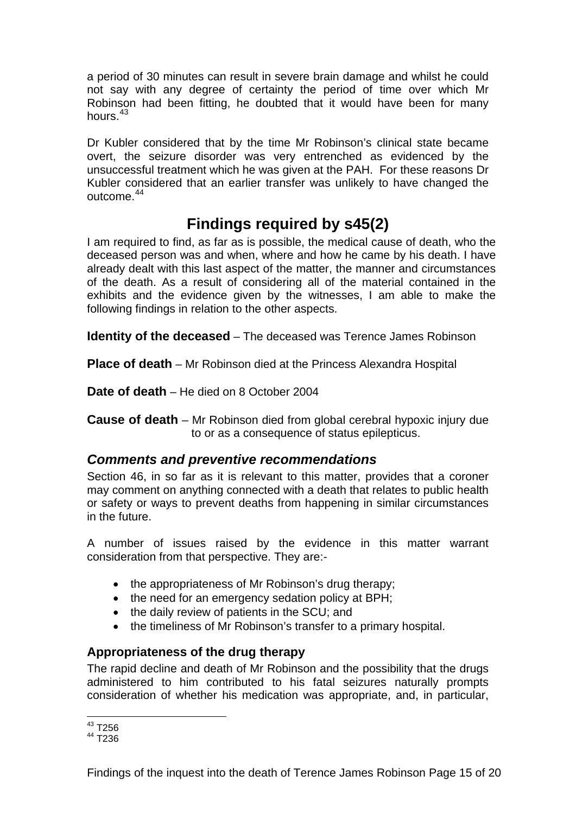<span id="page-15-0"></span>a period of 30 minutes can result in severe brain damage and whilst he could not say with any degree of certainty the period of time over which Mr Robinson had been fitting, he doubted that it would have been for many hours. $43$ 

Dr Kubler considered that by the time Mr Robinson's clinical state became overt, the seizure disorder was very entrenched as evidenced by the unsuccessful treatment which he was given at the PAH. For these reasons Dr Kubler considered that an earlier transfer was unlikely to have changed the outcome.<sup>[44](#page-15-2)</sup>

# **Findings required by s45(2)**

I am required to find, as far as is possible, the medical cause of death, who the deceased person was and when, where and how he came by his death. I have already dealt with this last aspect of the matter, the manner and circumstances of the death. As a result of considering all of the material contained in the exhibits and the evidence given by the witnesses, I am able to make the following findings in relation to the other aspects.

**Identity of the deceased** – The deceased was Terence James Robinson

**Place of death** – Mr Robinson died at the Princess Alexandra Hospital

**Date of death** – He died on 8 October 2004

**Cause of death** – Mr Robinson died from global cerebral hypoxic injury due to or as a consequence of status epilepticus.

# *Comments and preventive recommendations*

Section 46, in so far as it is relevant to this matter, provides that a coroner may comment on anything connected with a death that relates to public health or safety or ways to prevent deaths from happening in similar circumstances in the future.

A number of issues raised by the evidence in this matter warrant consideration from that perspective. They are:-

- the appropriateness of Mr Robinson's drug therapy;
- the need for an emergency sedation policy at BPH;
- the daily review of patients in the SCU; and
- the timeliness of Mr Robinson's transfer to a primary hospital.

# **Appropriateness of the drug therapy**

The rapid decline and death of Mr Robinson and the possibility that the drugs administered to him contributed to his fatal seizures naturally prompts consideration of whether his medication was appropriate, and, in particular,

1  $43$  T256

<span id="page-15-2"></span><span id="page-15-1"></span> $44 \overline{1}236$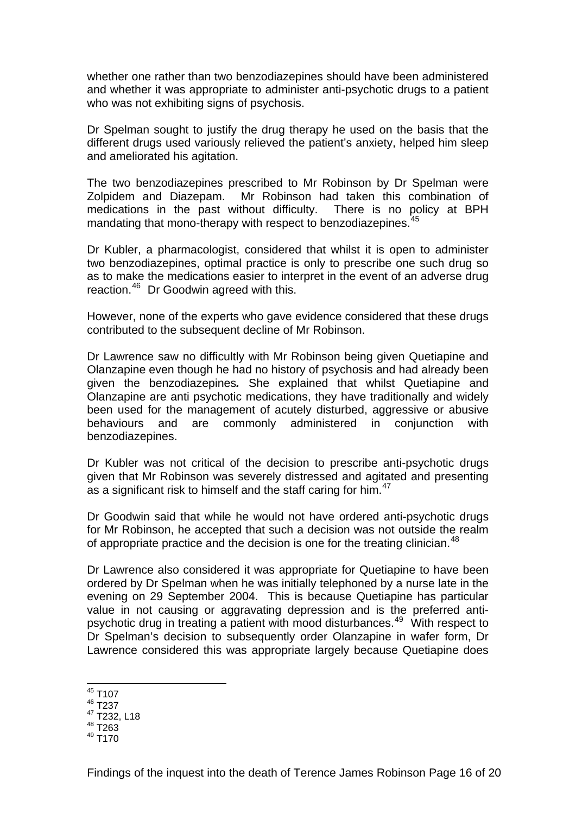whether one rather than two benzodiazepines should have been administered and whether it was appropriate to administer anti-psychotic drugs to a patient who was not exhibiting signs of psychosis.

Dr Spelman sought to justify the drug therapy he used on the basis that the different drugs used variously relieved the patient's anxiety, helped him sleep and ameliorated his agitation.

The two benzodiazepines prescribed to Mr Robinson by Dr Spelman were Zolpidem and Diazepam. Mr Robinson had taken this combination of medications in the past without difficulty. There is no policy at BPH mandating that mono-therapy with respect to benzodiazepines.<sup>[45](#page-16-0)</sup>

Dr Kubler, a pharmacologist, considered that whilst it is open to administer two benzodiazepines, optimal practice is only to prescribe one such drug so as to make the medications easier to interpret in the event of an adverse drug reaction.[46](#page-16-1) Dr Goodwin agreed with this.

However, none of the experts who gave evidence considered that these drugs contributed to the subsequent decline of Mr Robinson.

Dr Lawrence saw no difficultly with Mr Robinson being given Quetiapine and Olanzapine even though he had no history of psychosis and had already been given the benzodiazepines*.* She explained that whilst Quetiapine and Olanzapine are anti psychotic medications, they have traditionally and widely been used for the management of acutely disturbed, aggressive or abusive behaviours and are commonly administered in conjunction with benzodiazepines.

Dr Kubler was not critical of the decision to prescribe anti-psychotic drugs given that Mr Robinson was severely distressed and agitated and presenting as a significant risk to himself and the staff caring for him.<sup>[47](#page-16-2)</sup>

Dr Goodwin said that while he would not have ordered anti-psychotic drugs for Mr Robinson, he accepted that such a decision was not outside the realm of appropriate practice and the decision is one for the treating clinician.<sup>[48](#page-16-3)</sup>

Dr Lawrence also considered it was appropriate for Quetiapine to have been ordered by Dr Spelman when he was initially telephoned by a nurse late in the evening on 29 September 2004. This is because Quetiapine has particular value in not causing or aggravating depression and is the preferred antipsychotic drug in treating a patient with mood disturbances.[49](#page-16-4) With respect to Dr Spelman's decision to subsequently order Olanzapine in wafer form, Dr Lawrence considered this was appropriate largely because Quetiapine does

<sup>1</sup>  $45$  T107

<span id="page-16-1"></span><span id="page-16-0"></span><sup>46</sup> T237

<sup>47</sup> T232, L18

<span id="page-16-3"></span><span id="page-16-2"></span><sup>48</sup> T263

<span id="page-16-4"></span> $^{49}$  T<sub>170</sub>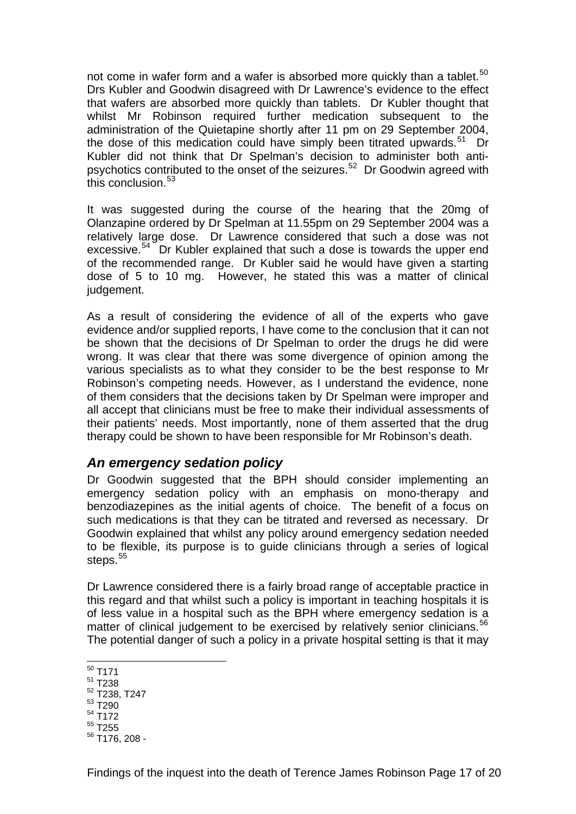<span id="page-17-0"></span>not come in wafer form and a wafer is absorbed more quickly than a tablet.<sup>[50](#page-17-1)</sup> Drs Kubler and Goodwin disagreed with Dr Lawrence's evidence to the effect that wafers are absorbed more quickly than tablets. Dr Kubler thought that whilst Mr Robinson required further medication subsequent to the administration of the Quietapine shortly after 11 pm on 29 September 2004, the dose of this medication could have simply been titrated upwards. $51$  Dr Kubler did not think that Dr Spelman's decision to administer both anti-psychotics contributed to the onset of the seizures.<sup>[52](#page-17-3)</sup> Dr Goodwin agreed with this conclusion.<sup>[53](#page-17-4)</sup>

It was suggested during the course of the hearing that the 20mg of Olanzapine ordered by Dr Spelman at 11.55pm on 29 September 2004 was a relatively large dose. Dr Lawrence considered that such a dose was not excessive.<sup>[54](#page-17-5)</sup> Dr Kubler explained that such a dose is towards the upper end of the recommended range. Dr Kubler said he would have given a starting dose of 5 to 10 mg. However, he stated this was a matter of clinical judgement.

As a result of considering the evidence of all of the experts who gave evidence and/or supplied reports, I have come to the conclusion that it can not be shown that the decisions of Dr Spelman to order the drugs he did were wrong. It was clear that there was some divergence of opinion among the various specialists as to what they consider to be the best response to Mr Robinson's competing needs. However, as I understand the evidence, none of them considers that the decisions taken by Dr Spelman were improper and all accept that clinicians must be free to make their individual assessments of their patients' needs. Most importantly, none of them asserted that the drug therapy could be shown to have been responsible for Mr Robinson's death.

### *An emergency sedation policy*

Dr Goodwin suggested that the BPH should consider implementing an emergency sedation policy with an emphasis on mono-therapy and benzodiazepines as the initial agents of choice. The benefit of a focus on such medications is that they can be titrated and reversed as necessary. Dr Goodwin explained that whilst any policy around emergency sedation needed to be flexible, its purpose is to guide clinicians through a series of logical steps.<sup>[55](#page-17-6)</sup>

Dr Lawrence considered there is a fairly broad range of acceptable practice in this regard and that whilst such a policy is important in teaching hospitals it is of less value in a hospital such as the BPH where emergency sedation is a matter of clinical judgement to be exercised by relatively senior clinicians.<sup>[56](#page-17-7)</sup> The potential danger of such a policy in a private hospital setting is that it may

- 1  $^{50}$  T171
- <span id="page-17-2"></span><span id="page-17-1"></span>51 T238
- 52 T238, T247
- <span id="page-17-4"></span><span id="page-17-3"></span>53 T290
- <span id="page-17-5"></span>54 T172
- <span id="page-17-6"></span>55 T255
- <span id="page-17-7"></span>56 T176, 208 -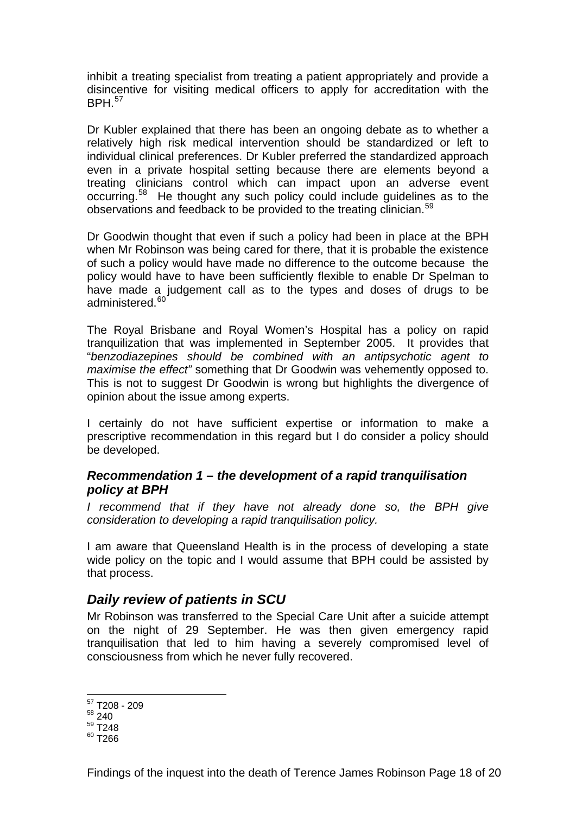<span id="page-18-0"></span>inhibit a treating specialist from treating a patient appropriately and provide a disincentive for visiting medical officers to apply for accreditation with the  $BPH$ <sup>[57](#page-18-1)</sup>

Dr Kubler explained that there has been an ongoing debate as to whether a relatively high risk medical intervention should be standardized or left to individual clinical preferences. Dr Kubler preferred the standardized approach even in a private hospital setting because there are elements beyond a treating clinicians control which can impact upon an adverse event occurring.[58](#page-18-2) He thought any such policy could include guidelines as to the observations and feedback to be provided to the treating clinician.<sup>[59](#page-18-3)</sup>

Dr Goodwin thought that even if such a policy had been in place at the BPH when Mr Robinson was being cared for there, that it is probable the existence of such a policy would have made no difference to the outcome because the policy would have to have been sufficiently flexible to enable Dr Spelman to have made a judgement call as to the types and doses of drugs to be administered.<sup>[60](#page-18-4)</sup>

The Royal Brisbane and Royal Women's Hospital has a policy on rapid tranquilization that was implemented in September 2005. It provides that "*benzodiazepines should be combined with an antipsychotic agent to maximise the effect"* something that Dr Goodwin was vehemently opposed to. This is not to suggest Dr Goodwin is wrong but highlights the divergence of opinion about the issue among experts.

I certainly do not have sufficient expertise or information to make a prescriptive recommendation in this regard but I do consider a policy should be developed.

#### *Recommendation 1 – the development of a rapid tranquilisation policy at BPH*

*I* recommend that if they have not already done so, the BPH give *consideration to developing a rapid tranquilisation policy.* 

I am aware that Queensland Health is in the process of developing a state wide policy on the topic and I would assume that BPH could be assisted by that process.

### *Daily review of patients in SCU*

Mr Robinson was transferred to the Special Care Unit after a suicide attempt on the night of 29 September. He was then given emergency rapid tranquilisation that led to him having a severely compromised level of consciousness from which he never fully recovered.

1

<sup>&</sup>lt;sup>57</sup> T208 - 209

<span id="page-18-2"></span><span id="page-18-1"></span><sup>58 240</sup> 

<sup>59</sup> T248

<span id="page-18-4"></span><span id="page-18-3"></span> $60$  T266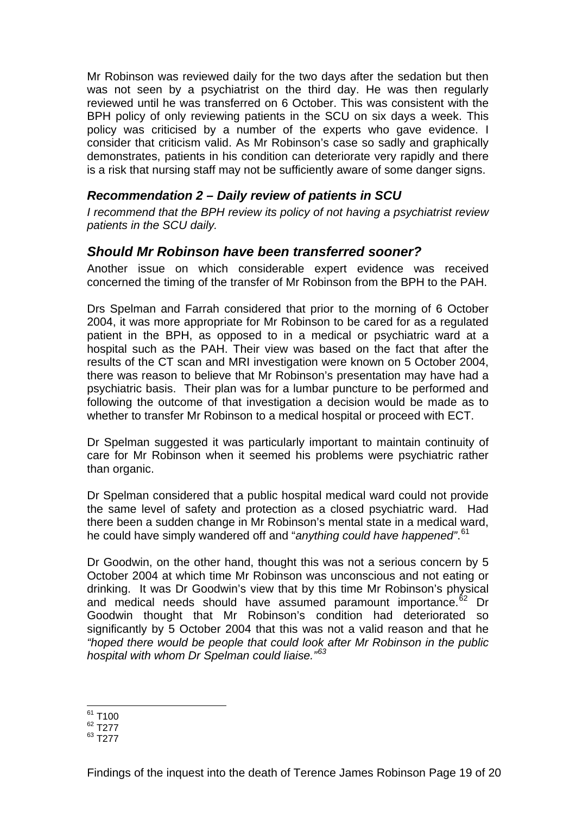<span id="page-19-0"></span>Mr Robinson was reviewed daily for the two days after the sedation but then was not seen by a psychiatrist on the third day. He was then regularly reviewed until he was transferred on 6 October. This was consistent with the BPH policy of only reviewing patients in the SCU on six days a week. This policy was criticised by a number of the experts who gave evidence. I consider that criticism valid. As Mr Robinson's case so sadly and graphically demonstrates, patients in his condition can deteriorate very rapidly and there is a risk that nursing staff may not be sufficiently aware of some danger signs.

#### *Recommendation 2 – Daily review of patients in SCU*

*I recommend that the BPH review its policy of not having a psychiatrist review patients in the SCU daily.* 

### *Should Mr Robinson have been transferred sooner?*

Another issue on which considerable expert evidence was received concerned the timing of the transfer of Mr Robinson from the BPH to the PAH.

Drs Spelman and Farrah considered that prior to the morning of 6 October 2004, it was more appropriate for Mr Robinson to be cared for as a regulated patient in the BPH, as opposed to in a medical or psychiatric ward at a hospital such as the PAH. Their view was based on the fact that after the results of the CT scan and MRI investigation were known on 5 October 2004, there was reason to believe that Mr Robinson's presentation may have had a psychiatric basis. Their plan was for a lumbar puncture to be performed and following the outcome of that investigation a decision would be made as to whether to transfer Mr Robinson to a medical hospital or proceed with ECT.

Dr Spelman suggested it was particularly important to maintain continuity of care for Mr Robinson when it seemed his problems were psychiatric rather than organic.

Dr Spelman considered that a public hospital medical ward could not provide the same level of safety and protection as a closed psychiatric ward. Had there been a sudden change in Mr Robinson's mental state in a medical ward, he could have simply wandered off and "*anything could have happened"*. [61](#page-19-1)

Dr Goodwin, on the other hand, thought this was not a serious concern by 5 October 2004 at which time Mr Robinson was unconscious and not eating or drinking. It was Dr Goodwin's view that by this time Mr Robinson's physical and medical needs should have assumed paramount importance.<sup>[62](#page-19-2)</sup> Dr Goodwin thought that Mr Robinson's condition had deteriorated so significantly by 5 October 2004 that this was not a valid reason and that he *"hoped there would be people that could look after Mr Robinson in the public hospital with whom Dr Spelman could liaise."[63](#page-19-3)*

<sup>1</sup>  $61$  T100

<span id="page-19-2"></span><span id="page-19-1"></span><sup>62</sup> T277

<span id="page-19-3"></span><sup>63</sup> T277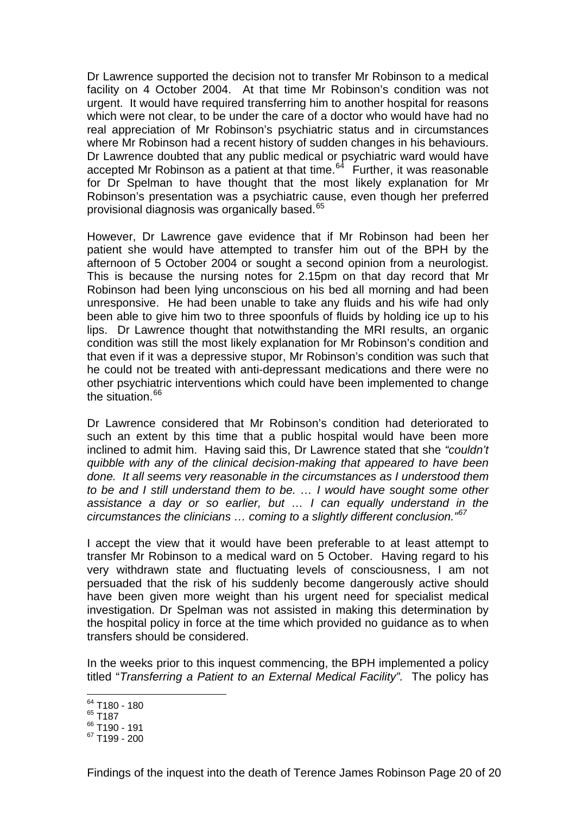Dr Lawrence supported the decision not to transfer Mr Robinson to a medical facility on 4 October 2004. At that time Mr Robinson's condition was not urgent. It would have required transferring him to another hospital for reasons which were not clear, to be under the care of a doctor who would have had no real appreciation of Mr Robinson's psychiatric status and in circumstances where Mr Robinson had a recent history of sudden changes in his behaviours. Dr Lawrence doubted that any public medical or psychiatric ward would have accepted Mr Robinson as a patient at that time.<sup>[64](#page-20-0)</sup> Further, it was reasonable for Dr Spelman to have thought that the most likely explanation for Mr Robinson's presentation was a psychiatric cause, even though her preferred provisional diagnosis was organically based.<sup>[65](#page-20-1)</sup>

However, Dr Lawrence gave evidence that if Mr Robinson had been her patient she would have attempted to transfer him out of the BPH by the afternoon of 5 October 2004 or sought a second opinion from a neurologist. This is because the nursing notes for 2.15pm on that day record that Mr Robinson had been lying unconscious on his bed all morning and had been unresponsive. He had been unable to take any fluids and his wife had only been able to give him two to three spoonfuls of fluids by holding ice up to his lips. Dr Lawrence thought that notwithstanding the MRI results, an organic condition was still the most likely explanation for Mr Robinson's condition and that even if it was a depressive stupor, Mr Robinson's condition was such that he could not be treated with anti-depressant medications and there were no other psychiatric interventions which could have been implemented to change the situation. $66$ 

Dr Lawrence considered that Mr Robinson's condition had deteriorated to such an extent by this time that a public hospital would have been more inclined to admit him. Having said this, Dr Lawrence stated that she *"couldn't quibble with any of the clinical decision-making that appeared to have been done. It all seems very reasonable in the circumstances as I understood them to be and I still understand them to be. … I would have sought some other assistance a day or so earlier, but … I can equally understand in the circumstances the clinicians … coming to a slightly different conclusion."[67](#page-20-3)*

I accept the view that it would have been preferable to at least attempt to transfer Mr Robinson to a medical ward on 5 October. Having regard to his very withdrawn state and fluctuating levels of consciousness, I am not persuaded that the risk of his suddenly become dangerously active should have been given more weight than his urgent need for specialist medical investigation. Dr Spelman was not assisted in making this determination by the hospital policy in force at the time which provided no guidance as to when transfers should be considered.

In the weeks prior to this inquest commencing, the BPH implemented a policy titled "*Transferring a Patient to an External Medical Facility".* The policy has

<sup>1</sup> <sup>64</sup> T180 - 180

<span id="page-20-1"></span><span id="page-20-0"></span><sup>65</sup> T187

<span id="page-20-2"></span><sup>66</sup> T190 - 191

<span id="page-20-3"></span><sup>67</sup> T199 - 200